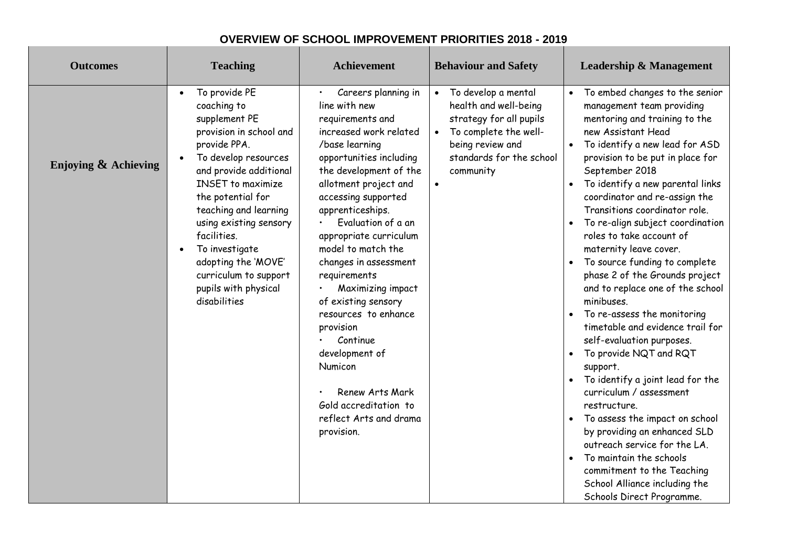| <b>Outcomes</b>         | <b>Teaching</b>                                                                                                                                                                                                                                                                                                                                                                      | <b>Achievement</b>                                                                                                                                                                                                                                                                                                                                                                                                                                                                                                                                         | <b>Behaviour and Safety</b>                                                                                                                                                             | <b>Leadership &amp; Management</b>                                                                                                                                                                                                                                                                                                                                                                                                                                                                                                                                                                                                                                                                                                                                                                                                                                                                                                                                                           |
|-------------------------|--------------------------------------------------------------------------------------------------------------------------------------------------------------------------------------------------------------------------------------------------------------------------------------------------------------------------------------------------------------------------------------|------------------------------------------------------------------------------------------------------------------------------------------------------------------------------------------------------------------------------------------------------------------------------------------------------------------------------------------------------------------------------------------------------------------------------------------------------------------------------------------------------------------------------------------------------------|-----------------------------------------------------------------------------------------------------------------------------------------------------------------------------------------|----------------------------------------------------------------------------------------------------------------------------------------------------------------------------------------------------------------------------------------------------------------------------------------------------------------------------------------------------------------------------------------------------------------------------------------------------------------------------------------------------------------------------------------------------------------------------------------------------------------------------------------------------------------------------------------------------------------------------------------------------------------------------------------------------------------------------------------------------------------------------------------------------------------------------------------------------------------------------------------------|
| Enjoying $\&$ Achieving | To provide PE<br>$\bullet$<br>coaching to<br>supplement PE<br>provision in school and<br>provide PPA.<br>To develop resources<br>and provide additional<br><b>INSET</b> to maximize<br>the potential for<br>teaching and learning<br>using existing sensory<br>facilities.<br>To investigate<br>adopting the 'MOVE'<br>curriculum to support<br>pupils with physical<br>disabilities | Careers planning in<br>line with new<br>requirements and<br>increased work related<br>/base learning<br>opportunities including<br>the development of the<br>allotment project and<br>accessing supported<br>apprenticeships.<br>Evaluation of a an<br>appropriate curriculum<br>model to match the<br>changes in assessment<br>requirements<br>Maximizing impact<br>of existing sensory<br>resources to enhance<br>provision<br>Continue<br>development of<br>Numicon<br>Renew Arts Mark<br>Gold accreditation to<br>reflect Arts and drama<br>provision. | To develop a mental<br>$\bullet$<br>health and well-being<br>strategy for all pupils<br>To complete the well-<br>being review and<br>standards for the school<br>community<br>$\bullet$ | • To embed changes to the senior<br>management team providing<br>mentoring and training to the<br>new Assistant Head<br>To identify a new lead for ASD<br>provision to be put in place for<br>September 2018<br>To identify a new parental links<br>coordinator and re-assign the<br>Transitions coordinator role.<br>To re-align subject coordination<br>roles to take account of<br>maternity leave cover.<br>To source funding to complete<br>phase 2 of the Grounds project<br>and to replace one of the school<br>minibuses.<br>To re-assess the monitoring<br>timetable and evidence trail for<br>self-evaluation purposes.<br>To provide NQT and RQT<br>support.<br>To identify a joint lead for the<br>$\bullet$<br>curriculum / assessment<br>restructure.<br>To assess the impact on school<br>by providing an enhanced SLD<br>outreach service for the LA.<br>To maintain the schools<br>commitment to the Teaching<br>School Alliance including the<br>Schools Direct Programme. |

## **OVERVIEW OF SCHOOL IMPROVEMENT PRIORITIES 2018 - 2019**